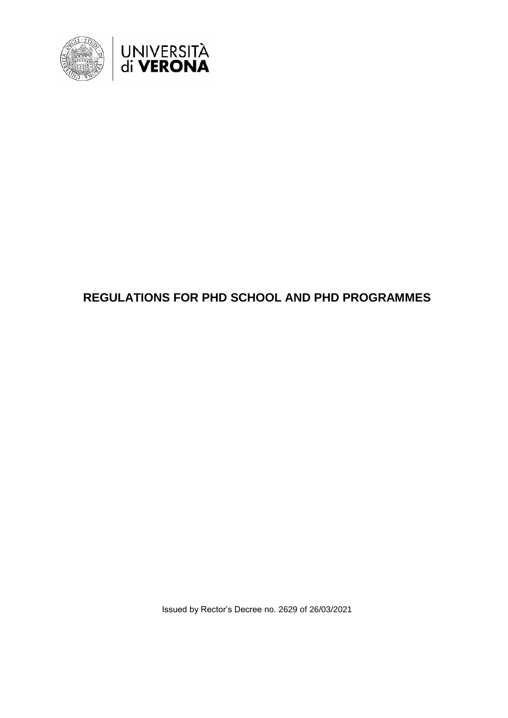

# **REGULATIONS FOR PHD SCHOOL AND PHD PROGRAMMES**

Issued by Rector's Decree no. 2629 of 26/03/2021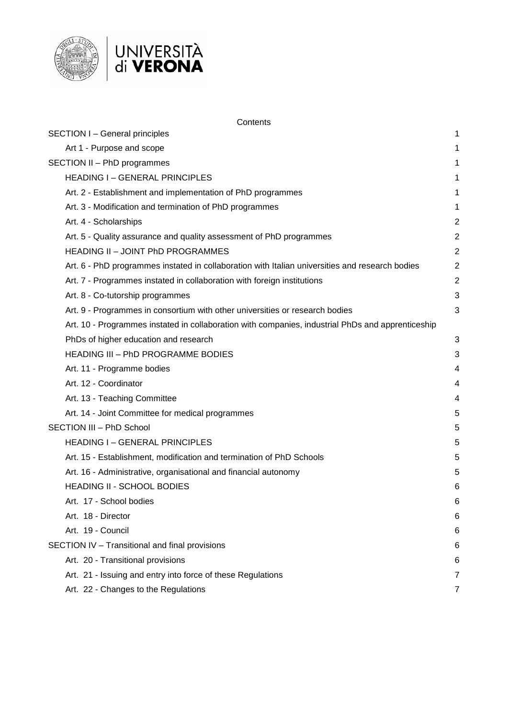



|                             | Contents                                                                                          |                |
|-----------------------------|---------------------------------------------------------------------------------------------------|----------------|
|                             | <b>SECTION I - General principles</b>                                                             | 1              |
|                             | Art 1 - Purpose and scope                                                                         | 1              |
| SECTION II - PhD programmes |                                                                                                   | 1              |
|                             | <b>HEADING I-GENERAL PRINCIPLES</b>                                                               | 1              |
|                             | Art. 2 - Establishment and implementation of PhD programmes                                       | 1              |
|                             | Art. 3 - Modification and termination of PhD programmes                                           | 1              |
|                             | Art. 4 - Scholarships                                                                             | $\overline{c}$ |
|                             | Art. 5 - Quality assurance and quality assessment of PhD programmes                               | $\overline{c}$ |
|                             | HEADING II - JOINT PhD PROGRAMMES                                                                 | $\overline{c}$ |
|                             | Art. 6 - PhD programmes instated in collaboration with Italian universities and research bodies   | $\overline{2}$ |
|                             | Art. 7 - Programmes instated in collaboration with foreign institutions                           | $\overline{2}$ |
|                             | Art. 8 - Co-tutorship programmes                                                                  | 3              |
|                             | Art. 9 - Programmes in consortium with other universities or research bodies                      | 3              |
|                             | Art. 10 - Programmes instated in collaboration with companies, industrial PhDs and apprenticeship |                |
|                             | PhDs of higher education and research                                                             | 3              |
|                             | <b>HEADING III - PhD PROGRAMME BODIES</b>                                                         | 3              |
|                             | Art. 11 - Programme bodies                                                                        | 4              |
|                             | Art. 12 - Coordinator                                                                             | 4              |
|                             | Art. 13 - Teaching Committee                                                                      | 4              |
|                             | Art. 14 - Joint Committee for medical programmes                                                  | 5              |
|                             | SECTION III - PhD School                                                                          | 5              |
|                             | <b>HEADING I-GENERAL PRINCIPLES</b>                                                               | 5              |
|                             | Art. 15 - Establishment, modification and termination of PhD Schools                              | 5              |
|                             | Art. 16 - Administrative, organisational and financial autonomy                                   | 5              |
|                             | <b>HEADING II - SCHOOL BODIES</b>                                                                 | 6              |
|                             | Art. 17 - School bodies                                                                           | հ              |
|                             | Art. 18 - Director                                                                                | 6              |
|                             | Art. 19 - Council                                                                                 | 6              |
|                             | SECTION IV - Transitional and final provisions                                                    | 6              |
|                             | Art. 20 - Transitional provisions                                                                 | 6              |
|                             | Art. 21 - Issuing and entry into force of these Regulations                                       | 7              |
|                             |                                                                                                   |                |

Art. 22 - [Changes to the Regulations](#page-8-1) 7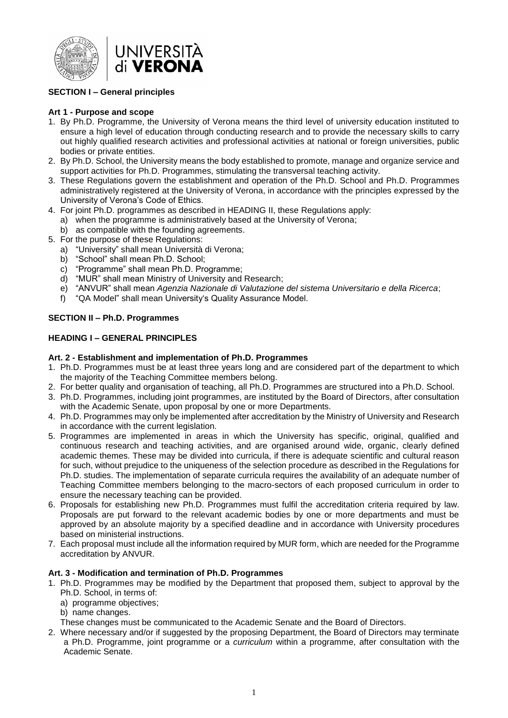

# <span id="page-2-0"></span>**SECTION I – General principles**

## <span id="page-2-1"></span>**Art 1 - Purpose and scope**

- 1. By Ph.D. Programme, the University of Verona means the third level of university education instituted to ensure a high level of education through conducting research and to provide the necessary skills to carry out highly qualified research activities and professional activities at national or foreign universities, public bodies or private entities.
- 2. By Ph.D. School, the University means the body established to promote, manage and organize service and support activities for Ph.D. Programmes, stimulating the transversal teaching activity.
- 3. These Regulations govern the establishment and operation of the Ph.D. School and Ph.D. Programmes administratively registered at the University of Verona, in accordance with the principles expressed by the University of Verona's Code of Ethics.
- 4. For joint Ph.D. programmes as described in HEADING II, these Regulations apply:
	- a) when the programme is administratively based at the University of Verona;
		- b) as compatible with the founding agreements.
- 5. For the purpose of these Regulations:
	- a) "University" shall mean Università di Verona;
	- b) "School" shall mean Ph.D. School;
	- c) "Programme" shall mean Ph.D. Programme;
	- d) "MUR" shall mean Ministry of University and Research;
	- e) "ANVUR" shall mean *Agenzia Nazionale di Valutazione del sistema Universitario e della Ricerca*;
	- f) "QA Model" shall mean University's Quality Assurance Model.

#### <span id="page-2-2"></span>**SECTION II – Ph.D. Programmes**

#### <span id="page-2-3"></span>**HEADING I – GENERAL PRINCIPLES**

#### <span id="page-2-4"></span>**Art. 2 - Establishment and implementation of Ph.D. Programmes**

- 1. Ph.D. Programmes must be at least three years long and are considered part of the department to which the majority of the Teaching Committee members belong.
- 2. For better quality and organisation of teaching, all Ph.D. Programmes are structured into a Ph.D. School.
- 3. Ph.D. Programmes, including joint programmes, are instituted by the Board of Directors, after consultation with the Academic Senate, upon proposal by one or more Departments.
- 4. Ph.D. Programmes may only be implemented after accreditation by the Ministry of University and Research in accordance with the current legislation.
- 5. Programmes are implemented in areas in which the University has specific, original, qualified and continuous research and teaching activities, and are organised around wide, organic, clearly defined academic themes. These may be divided into curricula, if there is adequate scientific and cultural reason for such, without prejudice to the uniqueness of the selection procedure as described in the Regulations for Ph.D. studies. The implementation of separate curricula requires the availability of an adequate number of Teaching Committee members belonging to the macro-sectors of each proposed curriculum in order to ensure the necessary teaching can be provided.
- 6. Proposals for establishing new Ph.D. Programmes must fulfil the accreditation criteria required by law. Proposals are put forward to the relevant academic bodies by one or more departments and must be approved by an absolute majority by a specified deadline and in accordance with University procedures based on ministerial instructions.
- 7. Each proposal must include all the information required by MUR form, which are needed for the Programme accreditation by ANVUR.

## <span id="page-2-5"></span>**Art. 3 - Modification and termination of Ph.D. Programmes**

- 1. Ph.D. Programmes may be modified by the Department that proposed them, subject to approval by the Ph.D. School, in terms of:
	- a) programme objectives;
	- b) name changes.
	- These changes must be communicated to the Academic Senate and the Board of Directors.
- 2. Where necessary and/or if suggested by the proposing Department, the Board of Directors may terminate a Ph.D. Programme, joint programme or a *curriculum* within a programme, after consultation with the Academic Senate.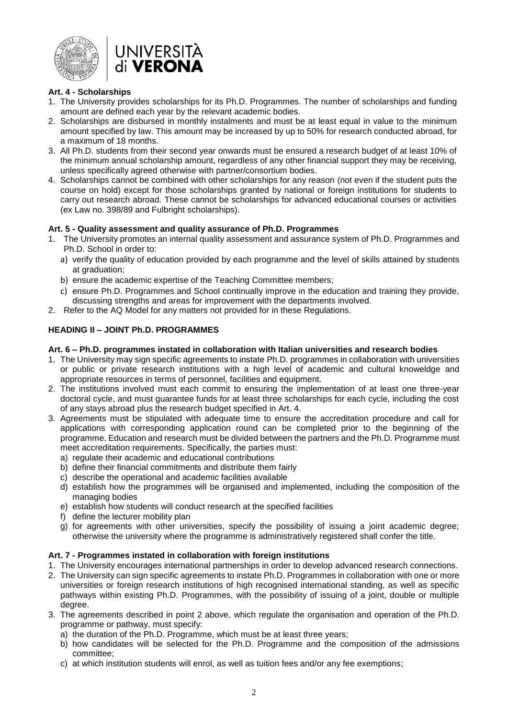



## <span id="page-3-0"></span>**Art. 4 - Scholarships**

- 1. The University provides scholarships for its Ph.D. Programmes. The number of scholarships and funding amount are defined each year by the relevant academic bodies.
- 2. Scholarships are disbursed in monthly instalments and must be at least equal in value to the minimum amount specified by law. This amount may be increased by up to 50% for research conducted abroad, for a maximum of 18 months.
- 3. All Ph.D. students from their second year onwards must be ensured a research budget of at least 10% of the minimum annual scholarship amount, regardless of any other financial support they may be receiving, unless specifically agreed otherwise with partner/consortium bodies.
- 4. Scholarships cannot be combined with other scholarships for any reason (not even if the student puts the course on hold) except for those scholarships granted by national or foreign institutions for students to carry out research abroad. These cannot be scholarships for advanced educational courses or activities (ex Law no. 398/89 and Fulbright scholarships).

#### <span id="page-3-1"></span>**Art. 5 - Quality assessment and quality assurance of Ph.D. Programmes**

- 1. The University promotes an internal quality assessment and assurance system of Ph.D. Programmes and Ph.D. School in order to:
	- a) verify the quality of education provided by each programme and the level of skills attained by students at graduation;
	- b) ensure the academic expertise of the Teaching Committee members;
	- c) ensure Ph.D. Programmes and School continually improve in the education and training they provide, discussing strengths and areas for improvement with the departments involved.
- 2. Refer to the AQ Model for any matters not provided for in these Regulations.

# <span id="page-3-2"></span>**HEADING II – JOINT Ph.D. PROGRAMMES**

#### <span id="page-3-3"></span>**Art. 6 – Ph.D. programmes instated in collaboration with Italian universities and research bodies**

- 1. The University may sign specific agreements to instate Ph.D. programmes in collaboration with universities or public or private research institutions with a high level of academic and cultural knoweldge and appropriate resources in terms of personnel, facilities and equipment.
- 2. The institutions involved must each commit to ensuring the implementation of at least one three-year doctoral cycle, and must guarantee funds for at least three scholarships for each cycle, including the cost of any stays abroad plus the research budget specified in Art. 4.
- 3. Agreements must be stipulated with adequate time to ensure the accreditation procedure and call for applications with corresponding application round can be completed prior to the beginning of the programme. Education and research must be divided between the partners and the Ph.D. Programme must meet accreditation requirements. Specifically, the parties must:
	- a) regulate their academic and educational contributions
	- b) define their financial commitments and distribute them fairly
	- c) describe the operational and academic facilities available
	- d) establish how the programmes will be organised and implemented, including the composition of the managing bodies
	- e) establish how students will conduct research at the specified facilities
	- f) define the lecturer mobility plan
	- g) for agreements with other universities, specify the possibility of issuing a joint academic degree; otherwise the university where the programme is administratively registered shall confer the title.

# <span id="page-3-4"></span>**Art. 7 - Programmes instated in collaboration with foreign institutions**

1. The University encourages international partnerships in order to develop advanced research connections.

- 2. The University can sign specific agreements to instate Ph.D. Programmes in collaboration with one or more universities or foreign research institutions of high recognised international standing, as well as specific pathways within existing Ph.D. Programmes, with the possibility of issuing of a joint, double or multiple degree.
- 3. The agreements described in point 2 above, which regulate the organisation and operation of the Ph.D. programme or pathway, must specify:
	- a) the duration of the Ph.D. Programme, which must be at least three years;
	- b) how candidates will be selected for the Ph.D. Programme and the composition of the admissions committee;
	- c) at which institution students will enrol, as well as tuition fees and/or any fee exemptions;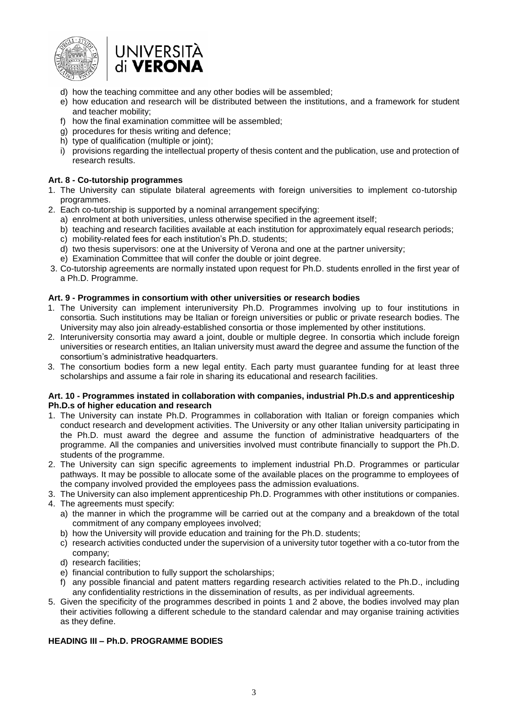



- d) how the teaching committee and any other bodies will be assembled;
- e) how education and research will be distributed between the institutions, and a framework for student and teacher mobility;
- f) how the final examination committee will be assembled;
- g) procedures for thesis writing and defence;
- h) type of qualification (multiple or joint);
- i) provisions regarding the intellectual property of thesis content and the publication, use and protection of research results.

#### <span id="page-4-0"></span>**Art. 8 - Co-tutorship programmes**

- 1. The University can stipulate bilateral agreements with foreign universities to implement co-tutorship programmes.
- 2. Each co-tutorship is supported by a nominal arrangement specifying:
	- a) enrolment at both universities, unless otherwise specified in the agreement itself;
	- b) teaching and research facilities available at each institution for approximately equal research periods;
	- c) mobility-related fees for each institution's Ph.D. students;
	- d) two thesis supervisors: one at the University of Verona and one at the partner university;
	- e) Examination Committee that will confer the double or joint degree.
- 3. Co-tutorship agreements are normally instated upon request for Ph.D. students enrolled in the first year of a Ph.D. Programme.

#### <span id="page-4-1"></span>**Art. 9 - Programmes in consortium with other universities or research bodies**

- 1. The University can implement interuniversity Ph.D. Programmes involving up to four institutions in consortia. Such institutions may be Italian or foreign universities or public or private research bodies. The University may also join already-established consortia or those implemented by other institutions.
- 2. Interuniversity consortia may award a joint, double or multiple degree. In consortia which include foreign universities or research entities, an Italian university must award the degree and assume the function of the consortium's administrative headquarters.
- 3. The consortium bodies form a new legal entity. Each party must guarantee funding for at least three scholarships and assume a fair role in sharing its educational and research facilities.

#### <span id="page-4-2"></span>**Art. 10 - Programmes instated in collaboration with companies, industrial Ph.D.s and apprenticeship Ph.D.s of higher education and research**

- 1. The University can instate Ph.D. Programmes in collaboration with Italian or foreign companies which conduct research and development activities. The University or any other Italian university participating in the Ph.D. must award the degree and assume the function of administrative headquarters of the programme. All the companies and universities involved must contribute financially to support the Ph.D. students of the programme.
- 2. The University can sign specific agreements to implement industrial Ph.D. Programmes or particular pathways. It may be possible to allocate some of the available places on the programme to employees of the company involved provided the employees pass the admission evaluations.
- 3. The University can also implement apprenticeship Ph.D. Programmes with other institutions or companies.
- 4. The agreements must specify:
	- a) the manner in which the programme will be carried out at the company and a breakdown of the total commitment of any company employees involved;
	- b) how the University will provide education and training for the Ph.D. students;
	- c) research activities conducted under the supervision of a university tutor together with a co-tutor from the company;
	- d) research facilities;
	- e) financial contribution to fully support the scholarships;
	- f) any possible financial and patent matters regarding research activities related to the Ph.D., including any confidentiality restrictions in the dissemination of results, as per individual agreements.
- 5. Given the specificity of the programmes described in points 1 and 2 above, the bodies involved may plan their activities following a different schedule to the standard calendar and may organise training activities as they define.

## <span id="page-4-3"></span>**HEADING III – Ph.D. PROGRAMME BODIES**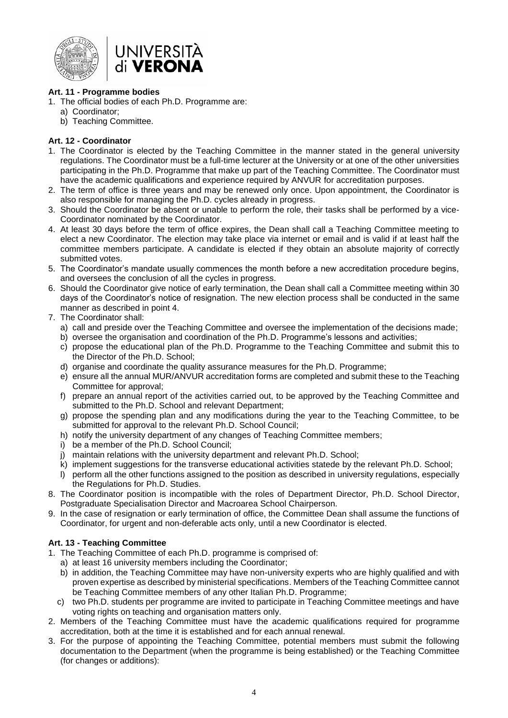

#### <span id="page-5-0"></span>**Art. 11 - Programme bodies**

- 1. The official bodies of each Ph.D. Programme are:
	- a) Coordinator;
	- b) Teaching Committee.

#### <span id="page-5-1"></span>**Art. 12 - Coordinator**

- 1. The Coordinator is elected by the Teaching Committee in the manner stated in the general university regulations. The Coordinator must be a full-time lecturer at the University or at one of the other universities participating in the Ph.D. Programme that make up part of the Teaching Committee. The Coordinator must have the academic qualifications and experience required by ANVUR for accreditation purposes.
- 2. The term of office is three years and may be renewed only once. Upon appointment, the Coordinator is also responsible for managing the Ph.D. cycles already in progress.
- 3. Should the Coordinator be absent or unable to perform the role, their tasks shall be performed by a vice-Coordinator nominated by the Coordinator.
- 4. At least 30 days before the term of office expires, the Dean shall call a Teaching Committee meeting to elect a new Coordinator. The election may take place via internet or email and is valid if at least half the committee members participate. A candidate is elected if they obtain an absolute majority of correctly submitted votes.
- 5. The Coordinator's mandate usually commences the month before a new accreditation procedure begins, and oversees the conclusion of all the cycles in progress.
- 6. Should the Coordinator give notice of early termination, the Dean shall call a Committee meeting within 30 days of the Coordinator's notice of resignation. The new election process shall be conducted in the same manner as described in point 4.
- 7. The Coordinator shall:
	- a) call and preside over the Teaching Committee and oversee the implementation of the decisions made;
	- b) oversee the organisation and coordination of the Ph.D. Programme's lessons and activities;
	- c) propose the educational plan of the Ph.D. Programme to the Teaching Committee and submit this to the Director of the Ph.D. School;
	- d) organise and coordinate the quality assurance measures for the Ph.D. Programme;
	- e) ensure all the annual MUR/ANVUR accreditation forms are completed and submit these to the Teaching Committee for approval;
	- f) prepare an annual report of the activities carried out, to be approved by the Teaching Committee and submitted to the Ph.D. School and relevant Department;
	- g) propose the spending plan and any modifications during the year to the Teaching Committee, to be submitted for approval to the relevant Ph.D. School Council;
	- h) notify the university department of any changes of Teaching Committee members;
	- i) be a member of the Ph.D. School Council;
	- j) maintain relations with the university department and relevant Ph.D. School;
	- k) implement suggestions for the transverse educational activities statede by the relevant Ph.D. School;
	- l) perform all the other functions assigned to the position as described in university regulations, especially the Regulations for Ph.D. Studies.
- 8. The Coordinator position is incompatible with the roles of Department Director, Ph.D. School Director, Postgraduate Specialisation Director and Macroarea School Chairperson.
- 9. In the case of resignation or early termination of office, the Committee Dean shall assume the functions of Coordinator, for urgent and non-deferable acts only, until a new Coordinator is elected.

#### <span id="page-5-2"></span>**Art. 13 - Teaching Committee**

- 1. The Teaching Committee of each Ph.D. programme is comprised of:
	- a) at least 16 university members including the Coordinator;
		- b) in addition, the Teaching Committee may have non-university experts who are highly qualified and with proven expertise as described by ministerial specifications. Members of the Teaching Committee cannot be Teaching Committee members of any other Italian Ph.D. Programme;
	- c) two Ph.D. students per programme are invited to participate in Teaching Committee meetings and have voting rights on teaching and organisation matters only.
- 2. Members of the Teaching Committee must have the academic qualifications required for programme accreditation, both at the time it is established and for each annual renewal.
- 3. For the purpose of appointing the Teaching Committee, potential members must submit the following documentation to the Department (when the programme is being established) or the Teaching Committee (for changes or additions):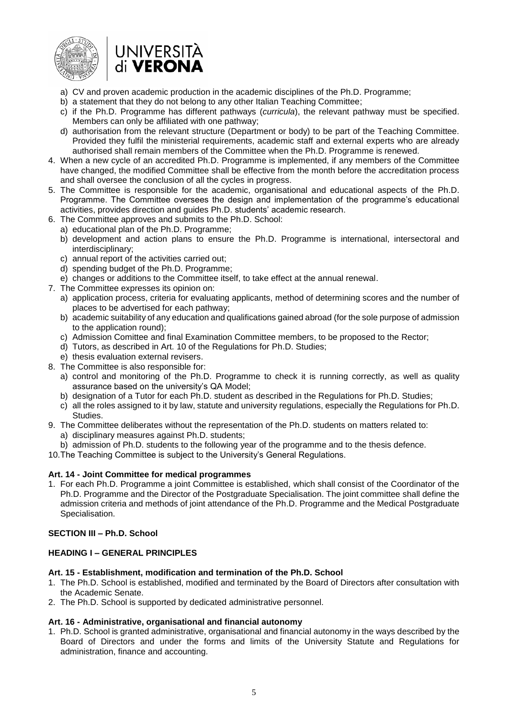



- a) CV and proven academic production in the academic disciplines of the Ph.D. Programme;
- b) a statement that they do not belong to any other Italian Teaching Committee;
- c) if the Ph.D. Programme has different pathways (*curricula*), the relevant pathway must be specified. Members can only be affiliated with one pathway;
- d) authorisation from the relevant structure (Department or body) to be part of the Teaching Committee. Provided they fulfil the ministerial requirements, academic staff and external experts who are already authorised shall remain members of the Committee when the Ph.D. Programme is renewed.
- 4. When a new cycle of an accredited Ph.D. Programme is implemented, if any members of the Committee have changed, the modified Committee shall be effective from the month before the accreditation process and shall oversee the conclusion of all the cycles in progress.
- 5. The Committee is responsible for the academic, organisational and educational aspects of the Ph.D. Programme. The Committee oversees the design and implementation of the programme's educational activities, provides direction and guides Ph.D. students' academic research.
- 6. The Committee approves and submits to the Ph.D. School:
	- a) educational plan of the Ph.D. Programme;
	- b) development and action plans to ensure the Ph.D. Programme is international, intersectoral and interdisciplinary;
	- c) annual report of the activities carried out;
	- d) spending budget of the Ph.D. Programme;
	- e) changes or additions to the Committee itself, to take effect at the annual renewal.
- 7. The Committee expresses its opinion on:
	- a) application process, criteria for evaluating applicants, method of determining scores and the number of places to be advertised for each pathway;
	- b) academic suitability of any education and qualifications gained abroad (for the sole purpose of admission to the application round);
	- c) Admission Comittee and final Examination Committee members, to be proposed to the Rector;
	- d) Tutors, as described in Art. 10 of the Regulations for Ph.D. Studies;
	- e) thesis evaluation external revisers.
- 8. The Committee is also responsible for:
	- a) control and monitoring of the Ph.D. Programme to check it is running correctly, as well as quality assurance based on the university's QA Model;
	- b) designation of a Tutor for each Ph.D. student as described in the Regulations for Ph.D. Studies;
	- c) all the roles assigned to it by law, statute and university regulations, especially the Regulations for Ph.D. Studies.
- 9. The Committee deliberates without the representation of the Ph.D. students on matters related to:
	- a) disciplinary measures against Ph.D. students;
	- b) admission of Ph.D. students to the following year of the programme and to the thesis defence.
- 10.The Teaching Committee is subject to the University's General Regulations.

#### <span id="page-6-0"></span>**Art. 14 - Joint Committee for medical programmes**

1. For each Ph.D. Programme a joint Committee is established, which shall consist of the Coordinator of the Ph.D. Programme and the Director of the Postgraduate Specialisation. The joint committee shall define the admission criteria and methods of joint attendance of the Ph.D. Programme and the Medical Postgraduate Specialisation.

#### <span id="page-6-1"></span>**SECTION III – Ph.D. School**

#### <span id="page-6-2"></span>**HEADING I – GENERAL PRINCIPLES**

#### <span id="page-6-3"></span>**Art. 15 - Establishment, modification and termination of the Ph.D. School**

- 1. The Ph.D. School is established, modified and terminated by the Board of Directors after consultation with the Academic Senate.
- 2. The Ph.D. School is supported by dedicated administrative personnel.

#### <span id="page-6-4"></span>**Art. 16 - Administrative, organisational and financial autonomy**

1. Ph.D. School is granted administrative, organisational and financial autonomy in the ways described by the Board of Directors and under the forms and limits of the University Statute and Regulations for administration, finance and accounting.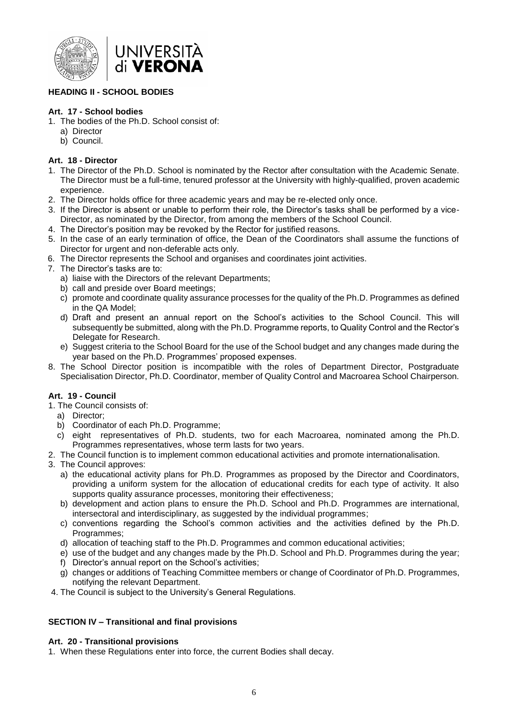

## <span id="page-7-0"></span>**HEADING II - SCHOOL BODIES**

# <span id="page-7-1"></span>**Art. 17 - School bodies**

- 1. The bodies of the Ph.D. School consist of:
	- a) Director
	- b) Council.

## <span id="page-7-2"></span>**Art. 18 - Director**

- 1. The Director of the Ph.D. School is nominated by the Rector after consultation with the Academic Senate. The Director must be a full-time, tenured professor at the University with highly-qualified, proven academic experience.
- 2. The Director holds office for three academic years and may be re-elected only once.
- 3. If the Director is absent or unable to perform their role, the Director's tasks shall be performed by a vice-Director, as nominated by the Director, from among the members of the School Council.
- 4. The Director's position may be revoked by the Rector for justified reasons.
- 5. In the case of an early termination of office, the Dean of the Coordinators shall assume the functions of Director for urgent and non-deferable acts only.
- 6. The Director represents the School and organises and coordinates joint activities.
- 7. The Director's tasks are to:
	- a) liaise with the Directors of the relevant Departments;
	- b) call and preside over Board meetings;
	- c) promote and coordinate quality assurance processes for the quality of the Ph.D. Programmes as defined in the QA Model;
	- d) Draft and present an annual report on the School's activities to the School Council. This will subsequently be submitted, along with the Ph.D. Programme reports, to Quality Control and the Rector's Delegate for Research.
	- e) Suggest criteria to the School Board for the use of the School budget and any changes made during the year based on the Ph.D. Programmes' proposed expenses.
- 8. The School Director position is incompatible with the roles of Department Director, Postgraduate Specialisation Director, Ph.D. Coordinator, member of Quality Control and Macroarea School Chairperson.

# <span id="page-7-3"></span>**Art. 19 - Council**

- 1. The Council consists of:
	- a) Director;
	- b) Coordinator of each Ph.D. Programme;
	- c) eight representatives of Ph.D. students, two for each Macroarea, nominated among the Ph.D. Programmes representatives, whose term lasts for two years.
- 2. The Council function is to implement common educational activities and promote internationalisation.
- 3. The Council approves:
	- a) the educational activity plans for Ph.D. Programmes as proposed by the Director and Coordinators, providing a uniform system for the allocation of educational credits for each type of activity. It also supports quality assurance processes, monitoring their effectiveness;
	- b) development and action plans to ensure the Ph.D. School and Ph.D. Programmes are international, intersectoral and interdisciplinary, as suggested by the individual programmes;
	- c) conventions regarding the School's common activities and the activities defined by the Ph.D. Programmes;
	- d) allocation of teaching staff to the Ph.D. Programmes and common educational activities;
	- e) use of the budget and any changes made by the Ph.D. School and Ph.D. Programmes during the year;
	- f) Director's annual report on the School's activities;
	- g) changes or additions of Teaching Committee members or change of Coordinator of Ph.D. Programmes, notifying the relevant Department.
- 4. The Council is subject to the University's General Regulations.

# <span id="page-7-4"></span>**SECTION IV – Transitional and final provisions**

#### <span id="page-7-5"></span>**Art. 20 - Transitional provisions**

1. When these Regulations enter into force, the current Bodies shall decay.